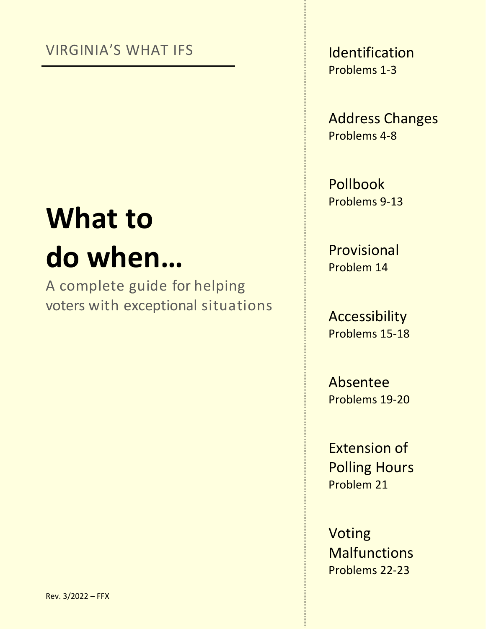### VIRGINIA'S WHAT IFS

# **What to do when…**

A complete guide for helping voters with exceptional situations Identification Problems 1-3

Address Changes Problems 4-8

Pollbook Problems 9-13

Provisional Problem 14

Accessibility Problems 15-18

Absentee Problems 19-20

Extension of Polling Hours Problem 21

Voting **Malfunctions** Problems 22-23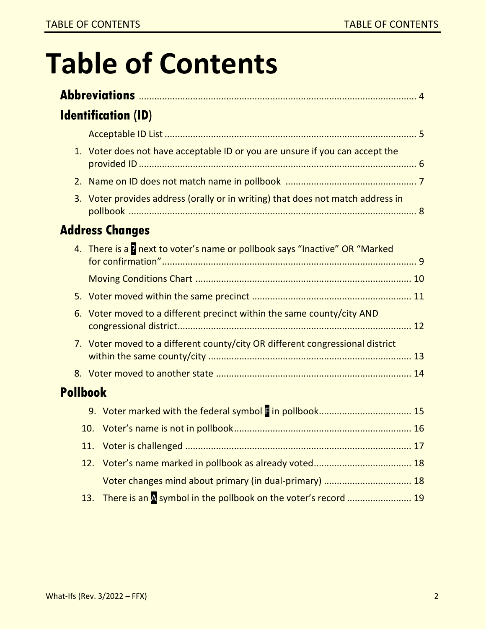# **Table of Contents**

|                 |     | <b>Identification (ID)</b>                                                      |  |  |  |  |
|-----------------|-----|---------------------------------------------------------------------------------|--|--|--|--|
|                 |     |                                                                                 |  |  |  |  |
|                 |     | 1. Voter does not have acceptable ID or you are unsure if you can accept the    |  |  |  |  |
|                 | 2.  |                                                                                 |  |  |  |  |
|                 |     | 3. Voter provides address (orally or in writing) that does not match address in |  |  |  |  |
|                 |     | <b>Address Changes</b>                                                          |  |  |  |  |
|                 |     | 4. There is a p next to voter's name or pollbook says "Inactive" OR "Marked     |  |  |  |  |
|                 |     |                                                                                 |  |  |  |  |
|                 |     |                                                                                 |  |  |  |  |
| 6.              |     | Voter moved to a different precinct within the same county/city AND             |  |  |  |  |
|                 |     | 7. Voter moved to a different county/city OR different congressional district   |  |  |  |  |
|                 |     |                                                                                 |  |  |  |  |
| <b>Pollbook</b> |     |                                                                                 |  |  |  |  |
|                 |     |                                                                                 |  |  |  |  |
|                 |     |                                                                                 |  |  |  |  |
|                 |     |                                                                                 |  |  |  |  |
|                 | 12. |                                                                                 |  |  |  |  |
|                 |     | Voter changes mind about primary (in dual-primary)  18                          |  |  |  |  |
|                 | 13. | There is an A symbol in the pollbook on the voter's record  19                  |  |  |  |  |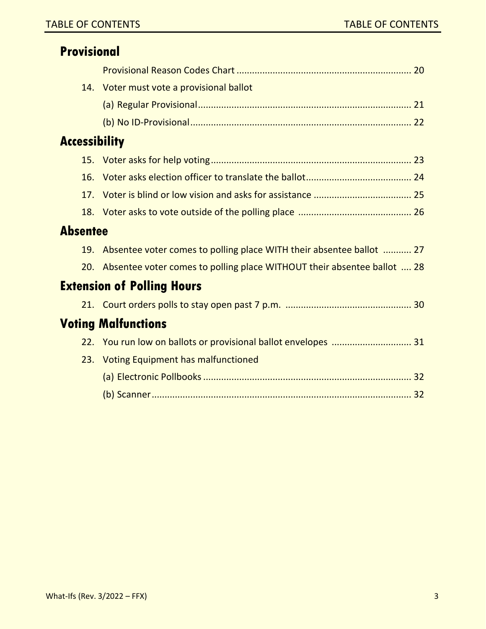| <b>Provisional</b>   |                                                                         |  |
|----------------------|-------------------------------------------------------------------------|--|
|                      |                                                                         |  |
|                      | 14. Voter must vote a provisional ballot                                |  |
|                      |                                                                         |  |
|                      |                                                                         |  |
| <b>Accessibility</b> |                                                                         |  |
|                      |                                                                         |  |
| 16.                  |                                                                         |  |
| 17.                  |                                                                         |  |
|                      |                                                                         |  |
| <b>Absentee</b>      |                                                                         |  |
| 19.                  | Absentee voter comes to polling place WITH their absentee ballot  27    |  |
| 20.                  | Absentee voter comes to polling place WITHOUT their absentee ballot  28 |  |
|                      | <b>Extension of Polling Hours</b>                                       |  |
|                      |                                                                         |  |
|                      | <b>Voting Malfunctions</b>                                              |  |
|                      | 22. You run low on ballots or provisional ballot envelopes  31          |  |
|                      | 23. Voting Equipment has malfunctioned                                  |  |
|                      |                                                                         |  |
|                      |                                                                         |  |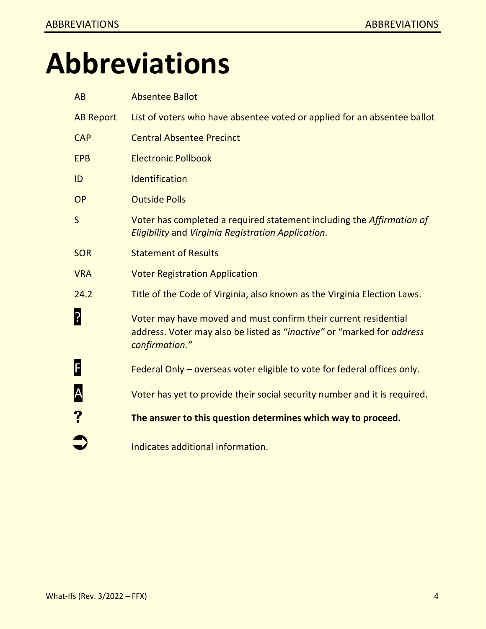# **Abbreviations**

| AB               | <b>Absentee Ballot</b>                                                                                                                                      |
|------------------|-------------------------------------------------------------------------------------------------------------------------------------------------------------|
| <b>AB Report</b> | List of voters who have absentee voted or applied for an absentee ballot                                                                                    |
| <b>CAP</b>       | <b>Central Absentee Precinct</b>                                                                                                                            |
| <b>EPB</b>       | <b>Electronic Pollbook</b>                                                                                                                                  |
| ID               | Identification                                                                                                                                              |
| <b>OP</b>        | <b>Outside Polls</b>                                                                                                                                        |
| $\mathsf{S}$     | Voter has completed a required statement including the Affirmation of<br>Eligibility and Virginia Registration Application.                                 |
| <b>SOR</b>       | <b>Statement of Results</b>                                                                                                                                 |
| <b>VRA</b>       | <b>Voter Registration Application</b>                                                                                                                       |
| 24.2             | Title of the Code of Virginia, also known as the Virginia Election Laws.                                                                                    |
| ?                | Voter may have moved and must confirm their current residential<br>address. Voter may also be listed as "inactive" or "marked for address<br>confirmation." |
| F                | Federal Only – overseas voter eligible to vote for federal offices only.                                                                                    |
| A                | Voter has yet to provide their social security number and it is required.                                                                                   |
|                  | The answer to this question determines which way to proceed.                                                                                                |
|                  | Indicates additional information.                                                                                                                           |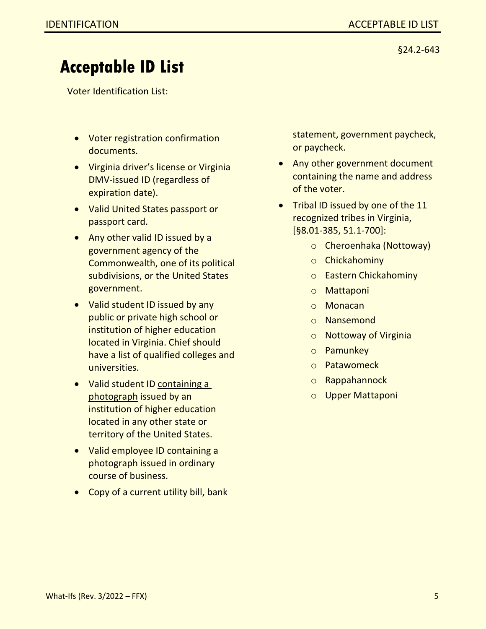### **Acceptable ID List**

Voter Identification List:

- Voter registration confirmation documents.
- Virginia driver's license or Virginia DMV-issued ID (regardless of expiration date).
- Valid United States passport or passport card.
- Any other valid ID issued by a government agency of the Commonwealth, one of its political subdivisions, or the United States government.
- Valid student ID issued by any public or private high school or institution of higher education located in Virginia. Chief should have a list of qualified colleges and universities.
- Valid student ID containing a photograph issued by an institution of higher education located in any other state or territory of the United States.
- Valid employee ID containing a photograph issued in ordinary course of business.
- Copy of a current utility bill, bank

statement, government paycheck, or paycheck.

- Any other government document containing the name and address of the voter.
- Tribal ID issued by one of the 11 recognized tribes in Virginia, [§8.01-385, 51.1-700]:
	- o Cheroenhaka (Nottoway)
	- o Chickahominy
	- o Eastern Chickahominy
	- o Mattaponi
	- o Monacan
	- o Nansemond
	- o Nottoway of Virginia
	- o Pamunkey
	- o Patawomeck
	- o Rappahannock
	- o Upper Mattaponi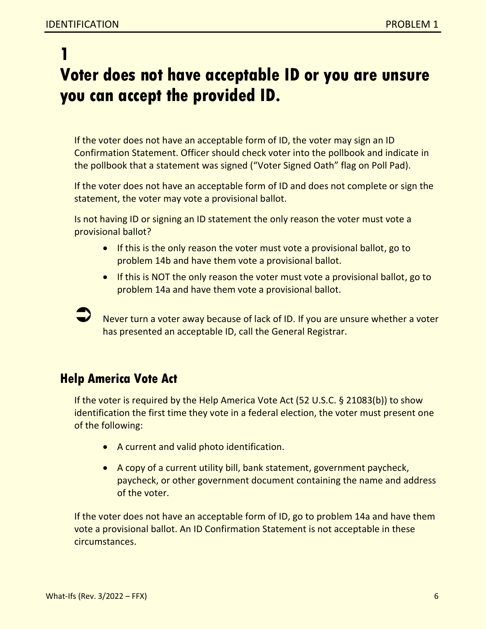**1**

### **Voter does not have acceptable ID or you are unsure you can accept the provided ID.**

If the voter does not have an acceptable form of ID, the voter may sign an ID Confirmation Statement. Officer should check voter into the pollbook and indicate in the pollbook that a statement was signed ("Voter Signed Oath" flag on Poll Pad).

If the voter does not have an acceptable form of ID and does not complete or sign the statement, the voter may vote a provisional ballot.

Is not having ID or signing an ID statement the only reason the voter must vote a provisional ballot?

- If this is the only reason the voter must vote a provisional ballot, go to problem 14b and have them vote a provisional ballot.
- If this is NOT the only reason the voter must vote a provisional ballot, go to problem 14a and have them vote a provisional ballot.

 Never turn a voter away because of lack of ID. If you are unsure whether a voter has presented an acceptable ID, call the General Registrar.

### **Help America Vote Act**

If the voter is required by the Help America Vote Act (52 U.S.C. § 21083(b)) to show identification the first time they vote in a federal election, the voter must present one of the following:

- A current and valid photo identification.
- A copy of a current utility bill, bank statement, government paycheck, paycheck, or other government document containing the name and address of the voter.

If the voter does not have an acceptable form of ID, go to problem 14a and have them vote a provisional ballot. An ID Confirmation Statement is not acceptable in these circumstances.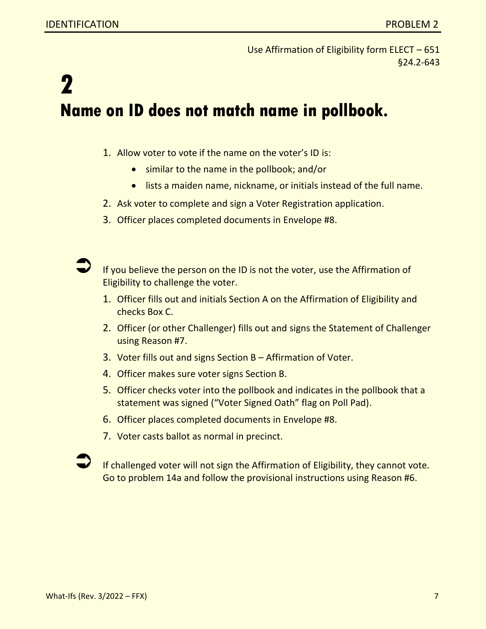Use Affirmation of Eligibility form ELECT – 651 §24.2-643

## **2 Name on ID does not match name in pollbook.**

- 1. Allow voter to vote if the name on the voter's ID is:
	- similar to the name in the pollbook; and/or
	- lists a maiden name, nickname, or initials instead of the full name.
- 2. Ask voter to complete and sign a Voter Registration application.
- 3. Officer places completed documents in Envelope #8.

 If you believe the person on the ID is not the voter, use the Affirmation of Eligibility to challenge the voter.

- 1. Officer fills out and initials Section A on the Affirmation of Eligibility and checks Box C.
- 2. Officer (or other Challenger) fills out and signs the Statement of Challenger using Reason #7.
- 3. Voter fills out and signs Section B Affirmation of Voter.
- 4. Officer makes sure voter signs Section B.
- 5. Officer checks voter into the pollbook and indicates in the pollbook that a statement was signed ("Voter Signed Oath" flag on Poll Pad).
- 6. Officer places completed documents in Envelope #8.
- 7. Voter casts ballot as normal in precinct.

 If challenged voter will not sign the Affirmation of Eligibility, they cannot vote. Go to problem 14a and follow the provisional instructions using Reason #6.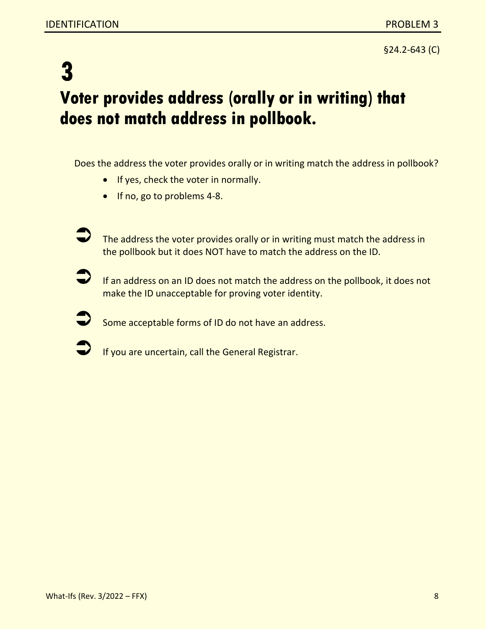§24.2-643 (C)

### **3 Voter provides address (orally or in writing) that does not match address in pollbook.**

Does the address the voter provides orally or in writing match the address in pollbook?

- If yes, check the voter in normally.
- If no, go to problems 4-8.
- The address the voter provides orally or in writing must match the address in the pollbook but it does NOT have to match the address on the ID.
- If an address on an ID does not match the address on the pollbook, it does not make the ID unacceptable for proving voter identity.
- Some acceptable forms of ID do not have an address.
- If you are uncertain, call the General Registrar.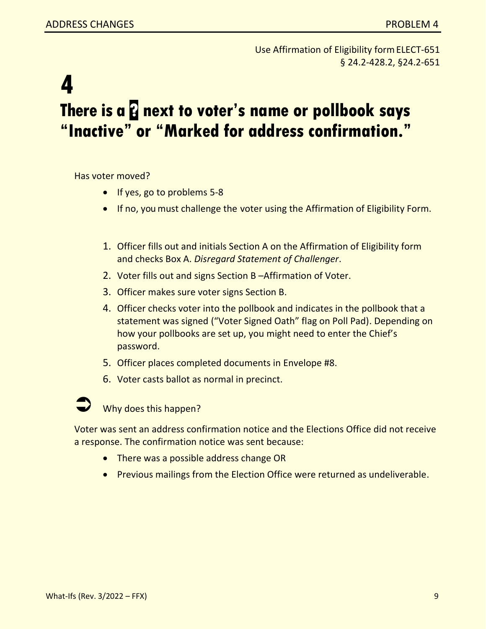Use Affirmation of Eligibility form ELECT-651 § 24.2-428.2, §24.2-651

### **4 There is a & next to voter's name or pollbook says "Inactive" or "Marked for address confirmation."**

Has voter moved?

- If yes, go to problems 5-8
- If no, you must challenge the voter using the Affirmation of Eligibility Form.
- 1. Officer fills out and initials Section A on the Affirmation of Eligibility form and checks Box A. *Disregard Statement of Challenger*.
- 2. Voter fills out and signs Section B –Affirmation of Voter.
- 3. Officer makes sure voter signs Section B.
- 4. Officer checks voter into the pollbook and indicates in the pollbook that a statement was signed ("Voter Signed Oath" flag on Poll Pad). Depending on how your pollbooks are set up, you might need to enter the Chief's password.
- 5. Officer places completed documents in Envelope #8.
- 6. Voter casts ballot as normal in precinct.



Why does this happen?

Voter was sent an address confirmation notice and the Elections Office did not receive a response. The confirmation notice was sent because:

- There was a possible address change OR
- Previous mailings from the Election Office were returned as undeliverable.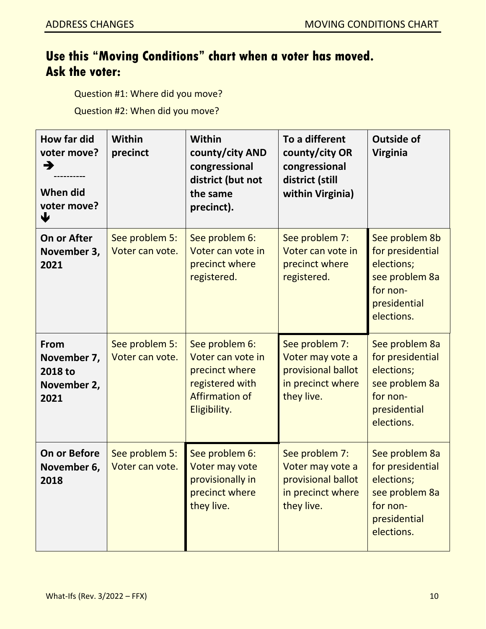### **Use this "Moving Conditions" chart when a voter has moved. Ask the voter:**

Question #1: Where did you move?

Question #2: When did you move?

| How far did<br>voter move?<br>→<br>When did<br>voter move?<br>₩ | Within<br>precinct                | <b>Within</b><br>county/city AND<br>congressional<br>district (but not<br>the same<br>precinct).                  | To a different<br>county/city OR<br>congressional<br>district (still<br>within Virginia)    | <b>Outside of</b><br><b>Virginia</b>                                                                         |
|-----------------------------------------------------------------|-----------------------------------|-------------------------------------------------------------------------------------------------------------------|---------------------------------------------------------------------------------------------|--------------------------------------------------------------------------------------------------------------|
| <b>On or After</b><br>November 3,<br>2021                       | See problem 5:<br>Voter can vote. | See problem 6:<br>Voter can vote in<br>precinct where<br>registered.                                              | See problem 7:<br>Voter can vote in<br>precinct where<br>registered.                        | See problem 8b<br>for presidential<br>elections;<br>see problem 8a<br>for non-<br>presidential<br>elections. |
| <b>From</b><br>November 7,<br>2018 to<br>November 2,<br>2021    | See problem 5:<br>Voter can vote. | See problem 6:<br>Voter can vote in<br>precinct where<br>registered with<br><b>Affirmation of</b><br>Eligibility. | See problem 7:<br>Voter may vote a<br>provisional ballot<br>in precinct where<br>they live. | See problem 8a<br>for presidential<br>elections;<br>see problem 8a<br>for non-<br>presidential<br>elections. |
| <b>On or Before</b><br>November 6,<br>2018                      | See problem 5:<br>Voter can vote. | See problem 6:<br>Voter may vote<br>provisionally in<br>precinct where<br>they live.                              | See problem 7:<br>Voter may vote a<br>provisional ballot<br>in precinct where<br>they live. | See problem 8a<br>for presidential<br>elections;<br>see problem 8a<br>for non-<br>presidential<br>elections. |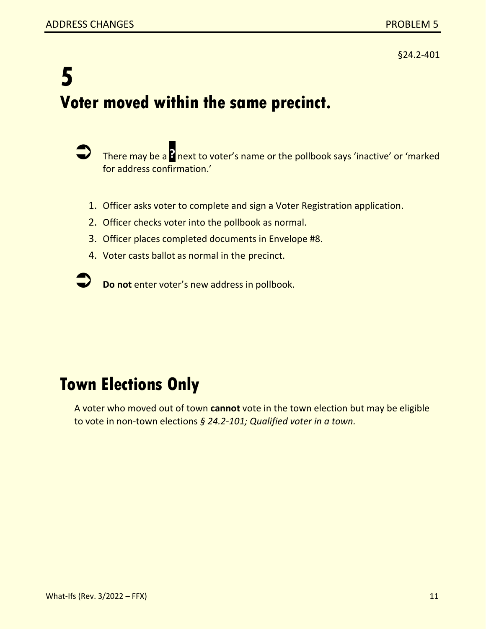### **5 Voter moved within the same precinct.**

- There may be a **?** next to voter's name or the pollbook says 'inactive' or 'marked for address confirmation.'
	- 1. Officer asks voter to complete and sign a Voter Registration application.
- 2. Officer checks voter into the pollbook as normal.
- 3. Officer places completed documents in Envelope #8.
- 4. Voter casts ballot as normal in the precinct.

**Do not** enter voter's new address in pollbook.

### **Town Elections Only**

A voter who moved out of town **cannot** vote in the town election but may be eligible to vote in non-town elections *§ 24.2-101; Qualified voter in a town.*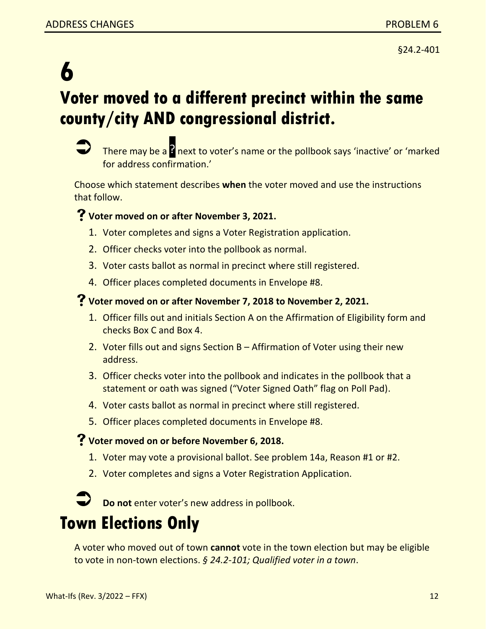### **6 Voter moved to a different precinct within the same county/city AND congressional district.**



There may be a <sup>2</sup> next to voter's name or the pollbook says 'inactive' or 'marked for address confirmation.'

Choose which statement describes **when** the voter moved and use the instructions that follow.

### **Voter moved on or after November 3, 2021.**

- 1. Voter completes and signs a Voter Registration application.
- 2. Officer checks voter into the pollbook as normal.
- 3. Voter casts ballot as normal in precinct where still registered.
- 4. Officer places completed documents in Envelope #8.

#### **Voter moved on or after November 7, 2018 to November 2, 2021.**

- 1. Officer fills out and initials Section A on the Affirmation of Eligibility form and checks Box C and Box 4.
- 2. Voter fills out and signs Section B Affirmation of Voter using their new address.
- 3. Officer checks voter into the pollbook and indicates in the pollbook that a statement or oath was signed ("Voter Signed Oath" flag on Poll Pad).
- 4. Voter casts ballot as normal in precinct where still registered.
- 5. Officer places completed documents in Envelope #8.

### **Voter moved on or before November 6, 2018.**

- 1. Voter may vote a provisional ballot. See problem 14a, Reason #1 or #2.
- 2. Voter completes and signs a Voter Registration Application.



**Do not** enter voter's new address in pollbook.

### **Town Elections Only**

A voter who moved out of town **cannot** vote in the town election but may be eligible to vote in non-town elections. *§ 24.2-101; Qualified voter in a town*.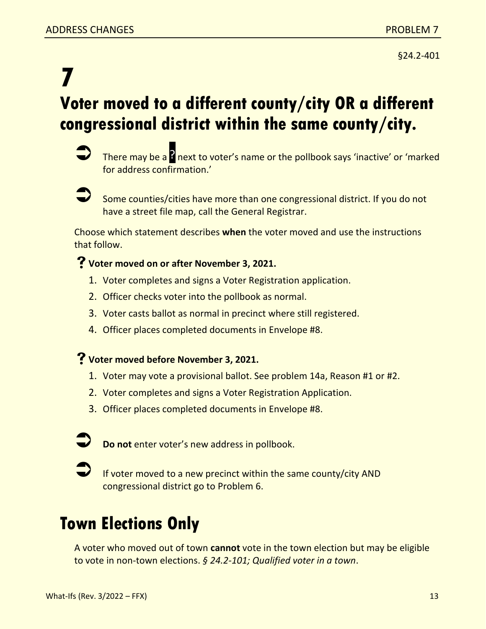### **7 Voter moved to a different county/city OR a different congressional district within the same county/city.**



There may be a <sup>2</sup> next to voter's name or the pollbook says 'inactive' or 'marked for address confirmation.'



 Some counties/cities have more than one congressional district. If you do not have a street file map, call the General Registrar.

Choose which statement describes **when** the voter moved and use the instructions that follow.

#### **Voter moved on or after November 3, 2021.**

- 1. Voter completes and signs a Voter Registration application.
- 2. Officer checks voter into the pollbook as normal.
- 3. Voter casts ballot as normal in precinct where still registered.
- 4. Officer places completed documents in Envelope #8.

#### **Voter moved before November 3, 2021.**

- 1. Voter may vote a provisional ballot. See problem 14a, Reason #1 or #2.
- 2. Voter completes and signs a Voter Registration Application.
- 3. Officer places completed documents in Envelope #8.



 If voter moved to a new precinct within the same county/city AND congressional district go to Problem 6.

### **Town Elections Only**

A voter who moved out of town **cannot** vote in the town election but may be eligible to vote in non-town elections. *§ 24.2-101; Qualified voter in a town*.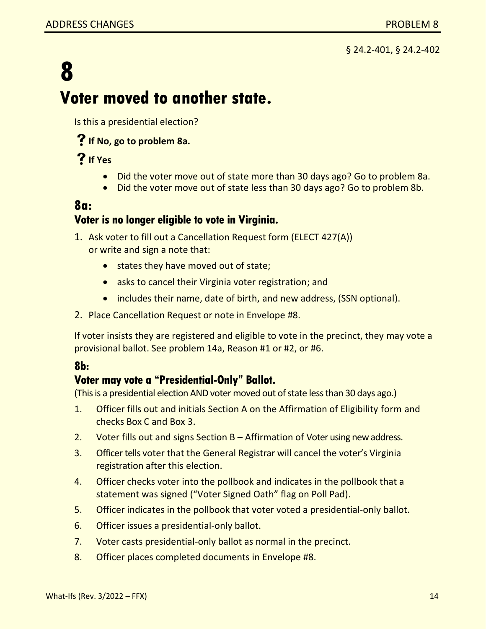### **8 Voter moved to another state.**

Is this a presidential election?

### **If No, go to problem 8a.**

### **If Yes**

- Did the voter move out of state more than 30 days ago? Go to problem 8a.
- Did the voter move out of state less than 30 days ago? Go to problem 8b.

### **8a:**

#### **Voter is no longer eligible to vote in Virginia.**

- 1. Ask voter to fill out a Cancellation Request form (ELECT 427(A)) or write and sign a note that:
	- states they have moved out of state;
	- asks to cancel their Virginia voter registration; and
	- includes their name, date of birth, and new address, (SSN optional).
- 2. Place Cancellation Request or note in Envelope #8.

If voter insists they are registered and eligible to vote in the precinct, they may vote a provisional ballot. See problem 14a, Reason #1 or #2, or #6.

#### **8b:**

#### **Voter may vote a "Presidential-Only" Ballot.**

(This is a presidential election AND voter moved out of state less than 30 days ago.)

- 1. Officer fills out and initials Section A on the Affirmation of Eligibility form and checks Box C and Box 3.
- 2. Voter fills out and signs Section B Affirmation of Voter using new address.
- 3. Officer tells voter that the General Registrar will cancel the voter's Virginia registration after this election.
- 4. Officer checks voter into the pollbook and indicates in the pollbook that a statement was signed ("Voter Signed Oath" flag on Poll Pad).
- 5. Officer indicates in the pollbook that voter voted a presidential-only ballot.
- 6. Officer issues a presidential-only ballot.
- 7. Voter casts presidential-only ballot as normal in the precinct.
- 8. Officer places completed documents in Envelope #8.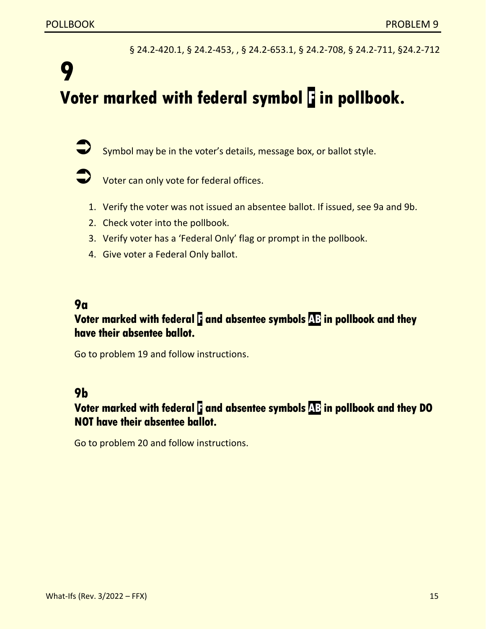§ 24.2-420.1, § 24.2-453, , § 24.2-653.1, § 24.2-708, § 24.2-711, §24.2-712

### **9 Voter marked with federal symbol F in pollbook.**

Symbol may be in the voter's details, message box, or ballot style.

- Voter can only vote for federal offices.
- 1. Verify the voter was not issued an absentee ballot. If issued, see 9a and 9b.
- 2. Check voter into the pollbook.
- 3. Verify voter has a 'Federal Only' flag or prompt in the pollbook.
- 4. Give voter a Federal Only ballot.

#### **9a**

### **Voter marked with federal F and absentee symbols AB in pollbook and they have their absentee ballot.**

Go to problem 19 and follow instructions.

#### **9b**

### **Voter marked with federal F and absentee symbols AB in pollbook and they DO NOT have their absentee ballot.**

Go to problem 20 and follow instructions.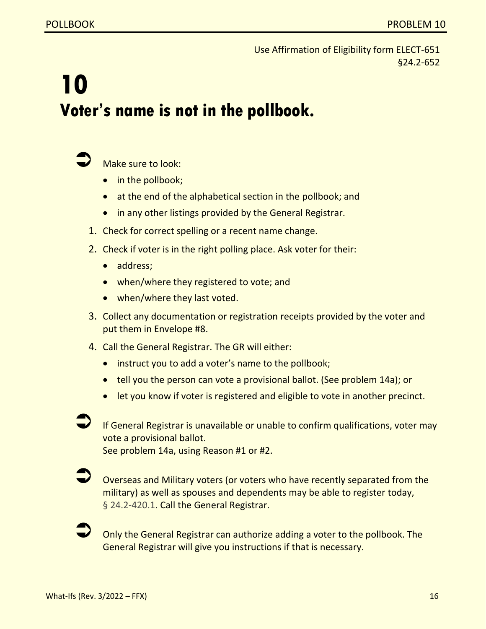Use Affirmation of Eligibility form ELECT-651 §24.2-652

## **10 Voter's name is not in the pollbook.**



Make sure to look:

- in the pollbook;
- at the end of the alphabetical section in the pollbook; and
- in any other listings provided by the General Registrar.
- 1. Check for correct spelling or a recent name change.
- 2. Check if voter is in the right polling place. Ask voter for their:
	- address;
	- when/where they registered to vote; and
	- when/where they last voted.
- 3. Collect any documentation or registration receipts provided by the voter and put them in Envelope #8.
- 4. Call the General Registrar. The GR will either:
	- instruct you to add a voter's name to the pollbook;
	- tell you the person can vote a provisional ballot. (See problem 14a); or
	- let you know if voter is registered and eligible to vote in another precinct.

 If General Registrar is unavailable or unable to confirm qualifications, voter may vote a provisional ballot.

See problem 14a, using Reason #1 or #2.

 Overseas and Military voters (or voters who have recently separated from the military) as well as spouses and dependents may be able to register today, § 24.2-420.1. Call the General Registrar.

 Only the General Registrar can authorize adding a voter to the pollbook. The General Registrar will give you instructions if that is necessary.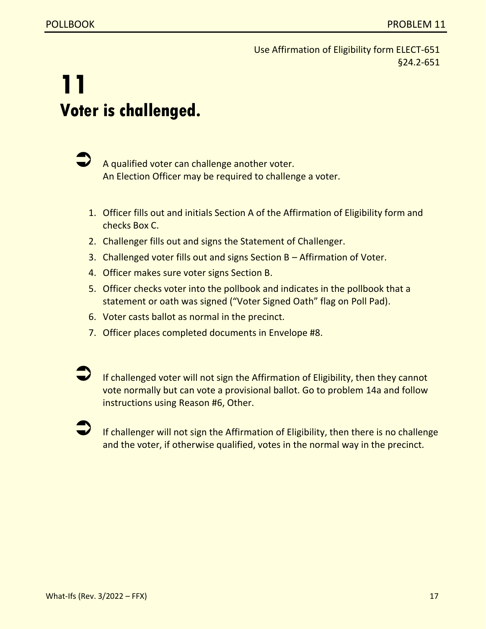Use Affirmation of Eligibility form ELECT-651 §24.2-651

## **11 Voter is challenged.**

 A qualified voter can challenge another voter. An Election Officer may be required to challenge a voter.

- 1. Officer fills out and initials Section A of the Affirmation of Eligibility form and checks Box C.
- 2. Challenger fills out and signs the Statement of Challenger.
- 3. Challenged voter fills out and signs Section B Affirmation of Voter.
- 4. Officer makes sure voter signs Section B.
- 5. Officer checks voter into the pollbook and indicates in the pollbook that a statement or oath was signed ("Voter Signed Oath" flag on Poll Pad).
- 6. Voter casts ballot as normal in the precinct.
- 7. Officer places completed documents in Envelope #8.

 If challenged voter will not sign the Affirmation of Eligibility, then they cannot vote normally but can vote a provisional ballot. Go to problem 14a and follow instructions using Reason #6, Other.

 If challenger will not sign the Affirmation of Eligibility, then there is no challenge and the voter, if otherwise qualified, votes in the normal way in the precinct.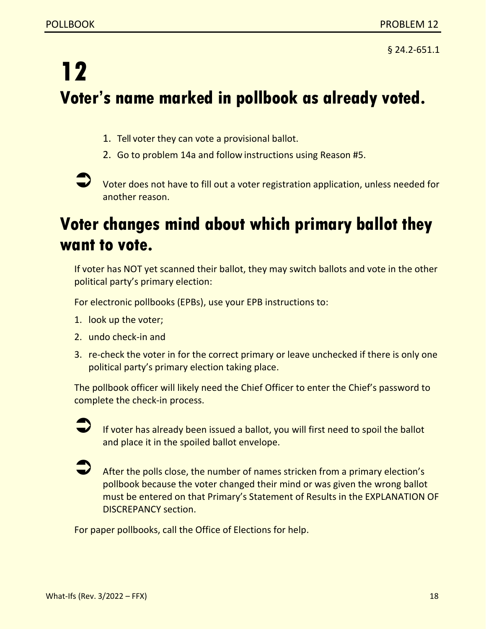§ 24.2-651.1

## **12 Voter's name marked in pollbook as already voted.**

- 1. Tell voter they can vote a provisional ballot.
- 2. Go to problem 14a and follow instructions using Reason #5.
- Voter does not have to fill out a voter registration application, unless needed for another reason.

### **Voter changes mind about which primary ballot they want to vote.**

If voter has NOT yet scanned their ballot, they may switch ballots and vote in the other political party's primary election:

For electronic pollbooks (EPBs), use your EPB instructions to:

- 1. look up the voter;
- 2. undo check-in and
- 3. re-check the voter in for the correct primary or leave unchecked if there is only one political party's primary election taking place.

The pollbook officer will likely need the Chief Officer to enter the Chief's password to complete the check-in process.



 If voter has already been issued a ballot, you will first need to spoil the ballot and place it in the spoiled ballot envelope.



 After the polls close, the number of names stricken from a primary election's pollbook because the voter changed their mind or was given the wrong ballot must be entered on that Primary's Statement of Results in the EXPLANATION OF DISCREPANCY section.

For paper pollbooks, call the Office of Elections for help.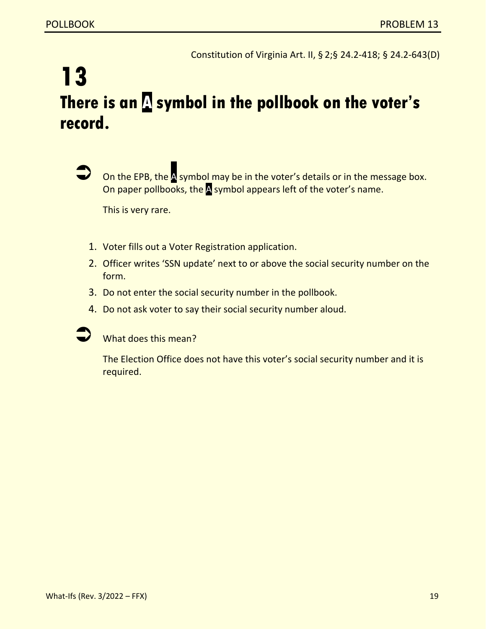Constitution of Virginia Art. II, § 2;§ 24.2-418; § 24.2-643(D)

### **13 There is an A symbol in the pollbook on the voter's record.**



On the EPB, the A symbol may be in the voter's details or in the message box. On paper pollbooks, the **A** symbol appears left of the voter's name.

This is very rare.

- 1. Voter fills out a Voter Registration application.
- 2. Officer writes 'SSN update' next to or above the social security number on the form.
- 3. Do not enter the social security number in the pollbook.
- 4. Do not ask voter to say their social security number aloud.



What does this mean?

The Election Office does not have this voter's social security number and it is required.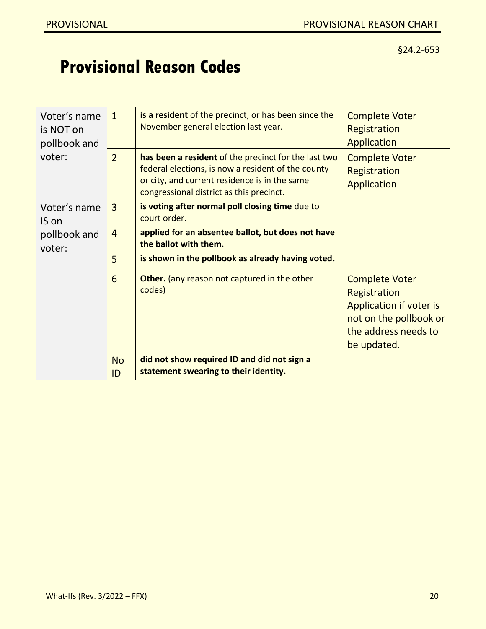### **Provisional Reason Codes**

| Voter's name<br>is NOT on<br>pollbook and | $\mathbf{1}$    | is a resident of the precinct, or has been since the<br>November general election last year.                                                                                                            | <b>Complete Voter</b><br>Registration<br>Application                                                                              |
|-------------------------------------------|-----------------|---------------------------------------------------------------------------------------------------------------------------------------------------------------------------------------------------------|-----------------------------------------------------------------------------------------------------------------------------------|
| voter:                                    | $\overline{2}$  | has been a resident of the precinct for the last two<br>federal elections, is now a resident of the county<br>or city, and current residence is in the same<br>congressional district as this precinct. | <b>Complete Voter</b><br>Registration<br>Application                                                                              |
| Voter's name<br>IS on                     | $\overline{3}$  | is voting after normal poll closing time due to<br>court order.                                                                                                                                         |                                                                                                                                   |
| pollbook and<br>voter:                    | $\overline{4}$  | applied for an absentee ballot, but does not have<br>the ballot with them.                                                                                                                              |                                                                                                                                   |
|                                           | 5               | is shown in the pollbook as already having voted.                                                                                                                                                       |                                                                                                                                   |
|                                           | 6               | <b>Other.</b> (any reason not captured in the other<br>codes)                                                                                                                                           | <b>Complete Voter</b><br>Registration<br>Application if voter is<br>not on the pollbook or<br>the address needs to<br>be updated. |
|                                           | <b>No</b><br>ID | did not show required ID and did not sign a<br>statement swearing to their identity.                                                                                                                    |                                                                                                                                   |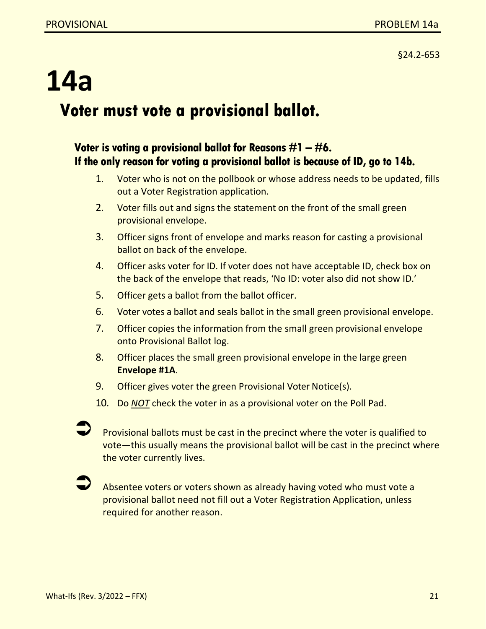## **14a Voter must vote a provisional ballot.**

#### **Voter is voting a provisional ballot for Reasons #1 – #6. If the only reason for voting a provisional ballot is because of ID, go to 14b.**

- 1. Voter who is not on the pollbook or whose address needs to be updated, fills out a Voter Registration application.
- 2. Voter fills out and signs the statement on the front of the small green provisional envelope.
- 3. Officer signs front of envelope and marks reason for casting a provisional ballot on back of the envelope.
- 4. Officer asks voter for ID. If voter does not have acceptable ID, check box on the back of the envelope that reads, 'No ID: voter also did not show ID.'
- 5. Officer gets a ballot from the ballot officer.
- 6. Voter votes a ballot and seals ballot in the small green provisional envelope.
- 7. Officer copies the information from the small green provisional envelope onto Provisional Ballot log.
- 8. Officer places the small green provisional envelope in the large green **Envelope #1A**.
- 9. Officer gives voter the green Provisional Voter Notice(s).
- 10. Do *NOT* check the voter in as a provisional voter on the Poll Pad.

 Provisional ballots must be cast in the precinct where the voter is qualified to vote—this usually means the provisional ballot will be cast in the precinct where the voter currently lives.

 Absentee voters or voters shown as already having voted who must vote a provisional ballot need not fill out a Voter Registration Application, unless required for another reason.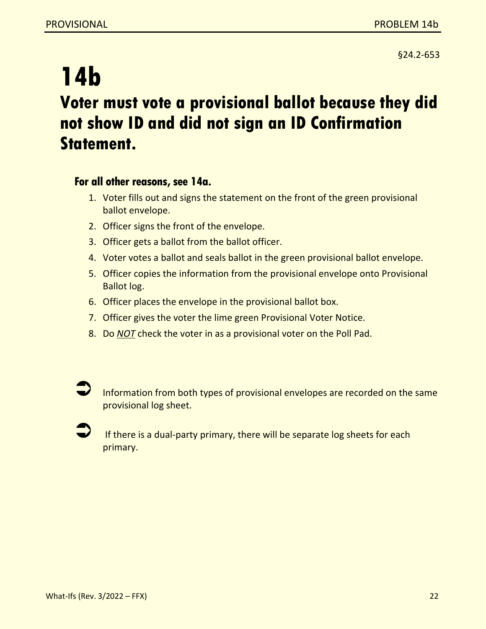### **14b Voter must vote a provisional ballot because they did not show ID and did not sign an ID Confirmation Statement.**

#### **For all other reasons, see 14a.**

- 1. Voter fills out and signs the statement on the front of the green provisional ballot envelope.
- 2. Officer signs the front of the envelope.
- 3. Officer gets a ballot from the ballot officer.
- 4. Voter votes a ballot and seals ballot in the green provisional ballot envelope.
- 5. Officer copies the information from the provisional envelope onto Provisional Ballot log.
- 6. Officer places the envelope in the provisional ballot box.
- 7. Officer gives the voter the lime green Provisional Voter Notice.
- 8. Do *NOT* check the voter in as a provisional voter on the Poll Pad.



 If there is a dual-party primary, there will be separate log sheets for each primary.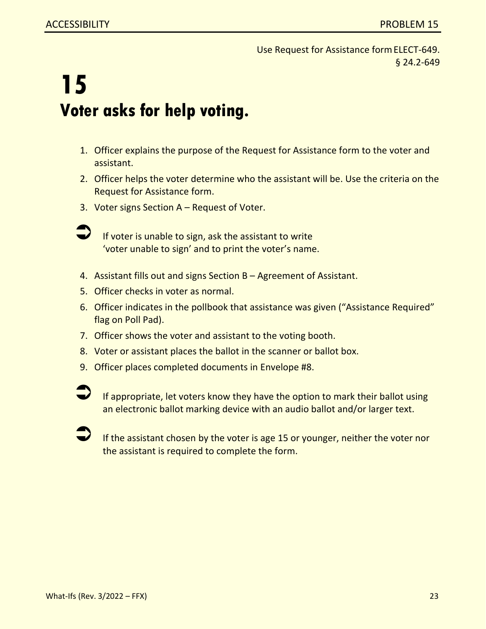Use Request for Assistance formELECT-649. § 24.2-649

## **15 Voter asks for help voting.**

- 1. Officer explains the purpose of the Request for Assistance form to the voter and assistant.
- 2. Officer helps the voter determine who the assistant will be. Use the criteria on the Request for Assistance form.
- 3. Voter signs Section A Request of Voter.
- 

 If voter is unable to sign, ask the assistant to write 'voter unable to sign' and to print the voter's name.

- 4. Assistant fills out and signs Section B Agreement of Assistant.
- 5. Officer checks in voter as normal.
- 6. Officer indicates in the pollbook that assistance was given ("Assistance Required" flag on Poll Pad).
- 7. Officer shows the voter and assistant to the voting booth.
- 8. Voter or assistant places the ballot in the scanner or ballot box.
- 9. Officer places completed documents in Envelope #8.
- If appropriate, let voters know they have the option to mark their ballot using an electronic ballot marking device with an audio ballot and/or larger text.
	- If the assistant chosen by the voter is age 15 or younger, neither the voter nor the assistant is required to complete the form.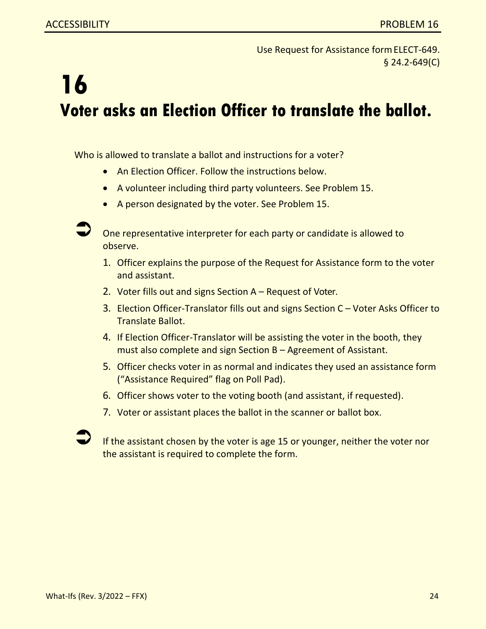Use Request for Assistance formELECT-649. § 24.2-649(C)

## **16 Voter asks an Election Officer to translate the ballot.**

Who is allowed to translate a ballot and instructions for a voter?

- An Election Officer. Follow the instructions below.
- A volunteer including third party volunteers. See Problem 15.
- A person designated by the voter. See Problem 15.

 One representative interpreter for each party or candidate is allowed to observe.

- 1. Officer explains the purpose of the Request for Assistance form to the voter and assistant.
- 2. Voter fills out and signs Section A Request of Voter.
- 3. Election Officer-Translator fills out and signs Section C Voter Asks Officer to Translate Ballot.
- 4. If Election Officer-Translator will be assisting the voter in the booth, they must also complete and sign Section B – Agreement of Assistant.
- 5. Officer checks voter in as normal and indicates they used an assistance form ("Assistance Required" flag on Poll Pad).
- 6. Officer shows voter to the voting booth (and assistant, if requested).
- 7. Voter or assistant places the ballot in the scanner or ballot box.

If the assistant chosen by the voter is age 15 or younger, neither the voter nor the assistant is required to complete the form.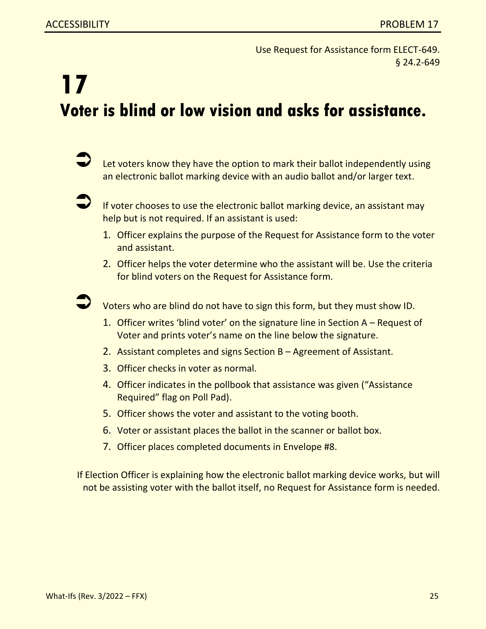Use Request for Assistance form ELECT-649. § 24.2-649

## **17 Voter is blind or low vision and asks for assistance.**

 Let voters know they have the option to mark their ballot independently using an electronic ballot marking device with an audio ballot and/or larger text.



 If voter chooses to use the electronic ballot marking device, an assistant may help but is not required. If an assistant is used:

- 1. Officer explains the purpose of the Request for Assistance form to the voter and assistant.
- 2. Officer helps the voter determine who the assistant will be. Use the criteria for blind voters on the Request for Assistance form.



Voters who are blind do not have to sign this form, but they must show ID.

- 1. Officer writes 'blind voter' on the signature line in Section A Request of Voter and prints voter's name on the line below the signature.
- 2. Assistant completes and signs Section B Agreement of Assistant.
- 3. Officer checks in voter as normal.
- 4. Officer indicates in the pollbook that assistance was given ("Assistance Required" flag on Poll Pad).
- 5. Officer shows the voter and assistant to the voting booth.
- 6. Voter or assistant places the ballot in the scanner or ballot box.
- 7. Officer places completed documents in Envelope #8.

If Election Officer is explaining how the electronic ballot marking device works, but will not be assisting voter with the ballot itself, no Request for Assistance form is needed.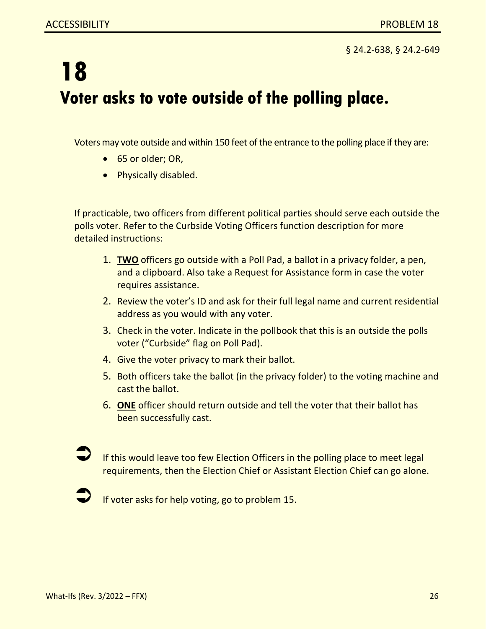§ 24.2-638, § 24.2-649

## **18 Voter asks to vote outside of the polling place.**

Voters may vote outside and within 150 feet of the entrance to the polling place if they are:

- 65 or older; OR,
- Physically disabled.

If practicable, two officers from different political parties should serve each outside the polls voter. Refer to the Curbside Voting Officers function description for more detailed instructions:

- 1. **TWO** officers go outside with a Poll Pad, a ballot in a privacy folder, a pen, and a clipboard. Also take a Request for Assistance form in case the voter requires assistance.
- 2. Review the voter's ID and ask for their full legal name and current residential address as you would with any voter.
- 3. Check in the voter. Indicate in the pollbook that this is an outside the polls voter ("Curbside" flag on Poll Pad).
- 4. Give the voter privacy to mark their ballot.
- 5. Both officers take the ballot (in the privacy folder) to the voting machine and cast the ballot.
- 6. **ONE** officer should return outside and tell the voter that their ballot has been successfully cast.

 If this would leave too few Election Officers in the polling place to meet legal requirements, then the Election Chief or Assistant Election Chief can go alone.

If voter asks for help voting, go to problem 15.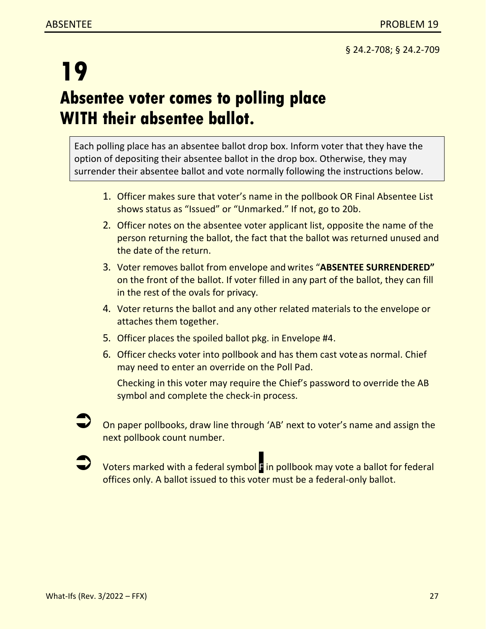### **19 Absentee voter comes to polling place WITH their absentee ballot.**

Each polling place has an absentee ballot drop box. Inform voter that they have the option of depositing their absentee ballot in the drop box. Otherwise, they may surrender their absentee ballot and vote normally following the instructions below.

- 1. Officer makes sure that voter's name in the pollbook OR Final Absentee List shows status as "Issued" or "Unmarked." If not, go to 20b.
- 2. Officer notes on the absentee voter applicant list, opposite the name of the person returning the ballot, the fact that the ballot was returned unused and the date of the return.
- 3. Voter removes ballot from envelope and writes "**ABSENTEE SURRENDERED"** on the front of the ballot. If voter filled in any part of the ballot, they can fill in the rest of the ovals for privacy.
- 4. Voter returns the ballot and any other related materials to the envelope or attaches them together.
- 5. Officer places the spoiled ballot pkg. in Envelope #4.
- 6. Officer checks voter into pollbook and has them cast voteas normal. Chief may need to enter an override on the Poll Pad.

Checking in this voter may require the Chief's password to override the AB symbol and complete the check-in process.

- On paper pollbooks, draw line through 'AB' next to voter's name and assign the next pollbook count number.
- Voters marked with a federal symbol F in pollbook may vote a ballot for federal offices only. A ballot issued to this voter must be a federal-only ballot.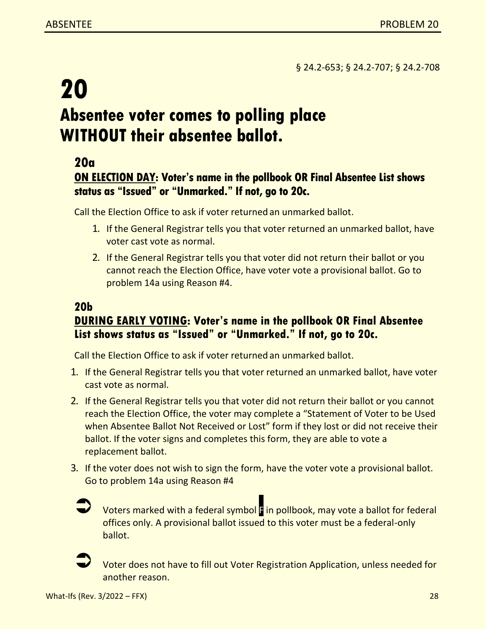§ 24.2-653; § 24.2-707; § 24.2-708

### **20 Absentee voter comes to polling place WITHOUT their absentee ballot.**

### **20a**

#### **ON ELECTION DAY: Voter's name in the pollbook OR Final Absentee List shows status as "Issued" or "Unmarked." If not, go to 20c.**

Call the Election Office to ask if voter returned an unmarked ballot.

- 1. If the General Registrar tells you that voter returned an unmarked ballot, have voter cast vote as normal.
- 2. If the General Registrar tells you that voter did not return their ballot or you cannot reach the Election Office, have voter vote a provisional ballot. Go to problem 14a using Reason #4.

#### **20b DURING EARLY VOTING: Voter's name in the pollbook OR Final Absentee List shows status as "Issued" or "Unmarked." If not, go to 20c.**

Call the Election Office to ask if voter returned an unmarked ballot.

- 1. If the General Registrar tells you that voter returned an unmarked ballot, have voter cast vote as normal.
- 2. If the General Registrar tells you that voter did not return their ballot or you cannot reach the Election Office, the voter may complete a "Statement of Voter to be Used when Absentee Ballot Not Received or Lost" form if they lost or did not receive their ballot. If the voter signs and completes this form, they are able to vote a replacement ballot.
- 3. If the voter does not wish to sign the form, have the voter vote a provisional ballot. Go to problem 14a using Reason #4



 Voters marked with a federal symbol F in pollbook, may vote a ballot for federal offices only. A provisional ballot issued to this voter must be a federal-only ballot.



 Voter does not have to fill out Voter Registration Application, unless needed for another reason.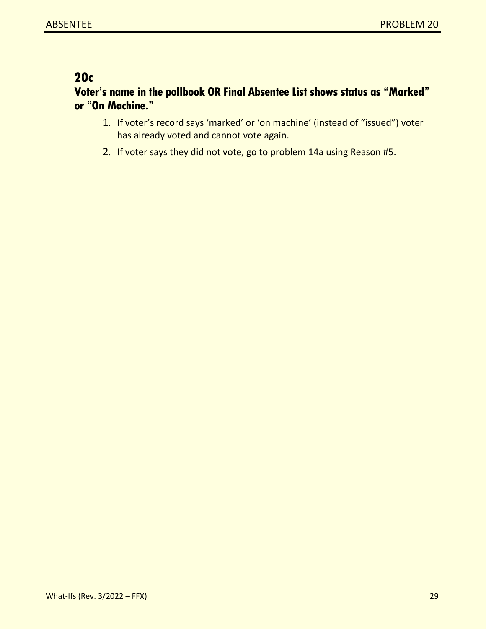### **20c**

#### **Voter's name in the pollbook OR Final Absentee List shows status as "Marked" or "On Machine."**

- 1. If voter's record says 'marked' or 'on machine' (instead of "issued") voter has already voted and cannot vote again.
- 2. If voter says they did not vote, go to problem 14a using Reason #5.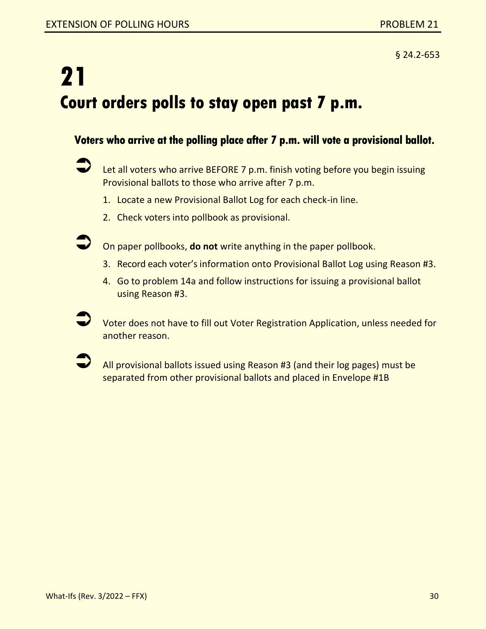## **21 Court orders polls to stay open past 7 p.m.**

#### **Voters who arrive at the polling place after 7 p.m. will vote a provisional ballot.**

- Let all voters who arrive BEFORE 7 p.m. finish voting before you begin issuing Provisional ballots to those who arrive after 7 p.m.
	- 1. Locate a new Provisional Ballot Log for each check-in line.
	- 2. Check voters into pollbook as provisional.
- 

On paper pollbooks, **do not** write anything in the paper pollbook.

- 3. Record each voter's information onto Provisional Ballot Log using Reason #3.
- 4. Go to problem 14a and follow instructions for issuing a provisional ballot using Reason #3.
- Voter does not have to fill out Voter Registration Application, unless needed for another reason.
- All provisional ballots issued using Reason #3 (and their log pages) must be separated from other provisional ballots and placed in Envelope #1B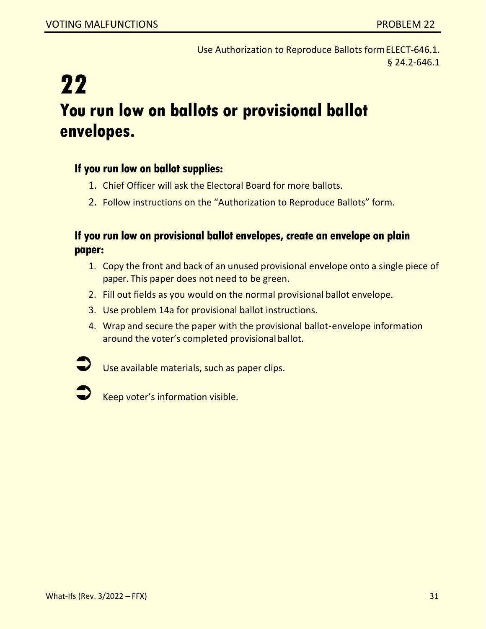Use Authorization to Reproduce Ballots formELECT-646.1. § 24.2-646.1

## **22 You run low on ballots or provisional ballot envelopes.**

#### **If you run low on ballot supplies:**

- 1. Chief Officer will ask the Electoral Board for more ballots.
- 2. Follow instructions on the "Authorization to Reproduce Ballots" form.

#### **If you run low on provisional ballot envelopes, create an envelope on plain paper:**

- 1. Copy the front and back of an unused provisional envelope onto a single piece of paper. This paper does not need to be green.
- 2. Fill out fields as you would on the normal provisional ballot envelope.
- 3. Use problem 14a for provisional ballot instructions.
- 4. Wrap and secure the paper with the provisional ballot-envelope information around the voter's completed provisional ballot.



Use available materials, such as paper clips.



<sup>K</sup>eep voter's information visible.